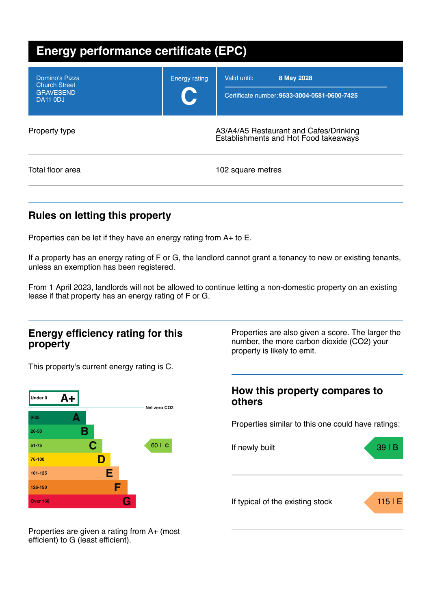| <b>Energy performance certificate (EPC)</b>                                   |                             |                                                                                 |  |
|-------------------------------------------------------------------------------|-----------------------------|---------------------------------------------------------------------------------|--|
| Domino's Pizza<br><b>Church Street</b><br><b>GRAVESEND</b><br><b>DA11 0DJ</b> | <b>Energy rating</b><br>C J | Valid until:<br>8 May 2028<br>Certificate number: 9633-3004-0581-0600-7425      |  |
| Property type                                                                 |                             | A3/A4/A5 Restaurant and Cafes/Drinking<br>Establishments and Hot Food takeaways |  |
| Total floor area                                                              |                             | 102 square metres                                                               |  |

## **Rules on letting this property**

Properties can be let if they have an energy rating from A+ to E.

If a property has an energy rating of F or G, the landlord cannot grant a tenancy to new or existing tenants, unless an exemption has been registered.

From 1 April 2023, landlords will not be allowed to continue letting a non-domestic property on an existing lease if that property has an energy rating of F or G.

### **Energy efficiency rating for this property**

This property's current energy rating is C.



Properties are also given a score. The larger the number, the more carbon dioxide (CO2) your property is likely to emit.

### **How this property compares to others**

Properties similar to this one could have ratings:



Properties are given a rating from A+ (most efficient) to G (least efficient).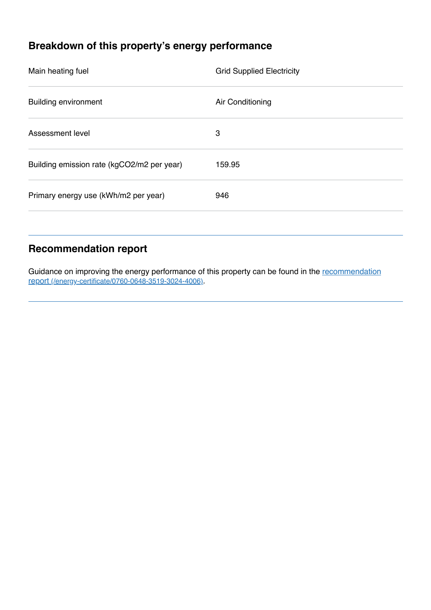# **Breakdown of this property's energy performance**

| Main heating fuel                          | <b>Grid Supplied Electricity</b> |
|--------------------------------------------|----------------------------------|
| <b>Building environment</b>                | Air Conditioning                 |
| Assessment level                           | 3                                |
| Building emission rate (kgCO2/m2 per year) | 159.95                           |
| Primary energy use (kWh/m2 per year)       | 946                              |
|                                            |                                  |

## **Recommendation report**

Guidance on improving the energy performance of this property can be found in the recommendation report [\(/energy-certificate/0760-0648-3519-3024-4006\)](https://find-energy-certificate.service.gov.uk/energy-certificate/0760-0648-3519-3024-4006).